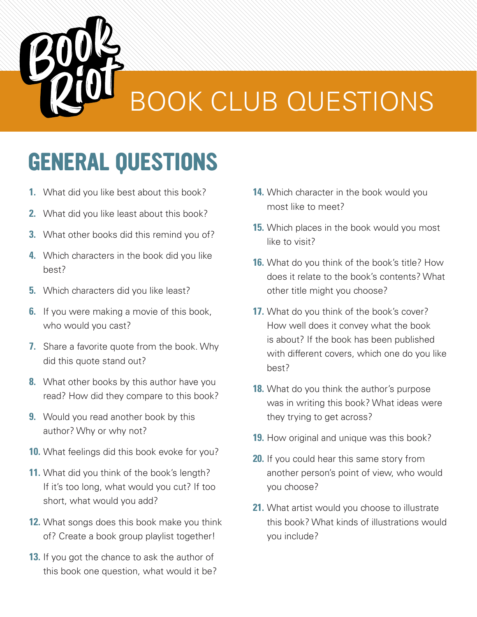

# **GENERAL QUESTIONS**

- **1.** What did you like best about this book?
- **2.** What did you like least about this book?
- **3.** What other books did this remind you of?
- **4.** Which characters in the book did you like best?
- **5.** Which characters did you like least?
- **6.** If you were making a movie of this book, who would you cast?
- **7.** Share a favorite quote from the book. Why did this quote stand out?
- **8.** What other books by this author have you read? How did they compare to this book?
- **9.** Would you read another book by this author? Why or why not?
- **10.** What feelings did this book evoke for you?
- **11.** What did you think of the book's length? If it's too long, what would you cut? If too short, what would you add?
- **12.** What songs does this book make you think of? Create a book group playlist together!
- **13.** If you got the chance to ask the author of this book one question, what would it be?
- **14.** Which character in the book would you most like to meet?
- **15.** Which places in the book would you most like to visit?
- **16.** What do you think of the book's title? How does it relate to the book's contents? What other title might you choose?
- **17.** What do you think of the book's cover? How well does it convey what the book is about? If the book has been published with different covers, which one do you like best?
- **18.** What do you think the author's purpose was in writing this book? What ideas were they trying to get across?
- **19.** How original and unique was this book?
- **20.** If you could hear this same story from another person's point of view, who would you choose?
- **21.** What artist would you choose to illustrate this book? What kinds of illustrations would you include?